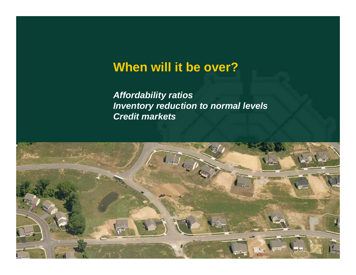# **When will it be over?**

*Affordability ratios Inventory reduction to normal levels Credit markets*

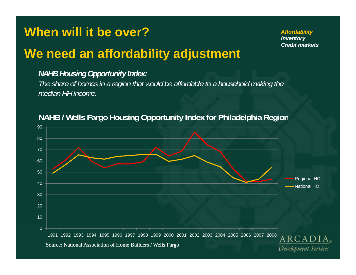# **When will it be over?**

## *Affordability Inventory Credit markets*

# **W d ff d bilit dj t t We need an affordability adjustment**

### *NAHB Housing Opportunity Index:*

*The share of homes in a region that would be affordable to a household making the median HH income.*



**NAHB / Wells Fargo Housing Opportunity Index for Philadelphia Region**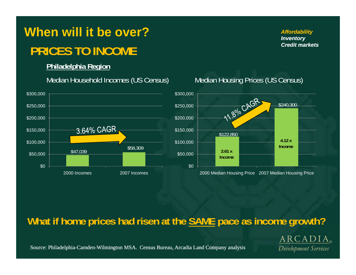# **When will it be over?PRICES TO INCOME**

### **Philadelphia Region**

#### Median Household Incomes (US Census) Median Housing Prices (US Census)



### *Affordability Inventory Credit markets*





2000 Median Housing Price 2007 Median Housing Price

## **What if home prices had risen at the SAME pace as income growth?**

Source: Philadelphia-Camden-Wilmington MSA. Census Bureau, Arcadia Land Company analysis

 $ARCADIA_{\infty}$ Development Services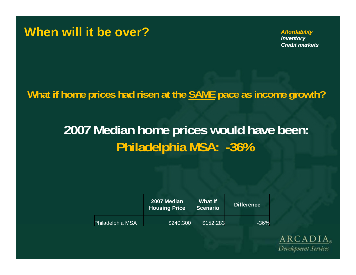**When will it be over?**

 *Affordability Inventory Credit markets*

## **What if home prices had risen at the SAME pace as income growth?**

# **2007 Median home prices would have been: Philadelphia MSA: -36%**

|                  | 2007 Median<br><b>Housing Price</b> | What If<br><b>Scenario</b> | <b>Difference</b> |
|------------------|-------------------------------------|----------------------------|-------------------|
| Philadelphia MSA | \$240,300                           | \$152,283                  | $-36%$            |